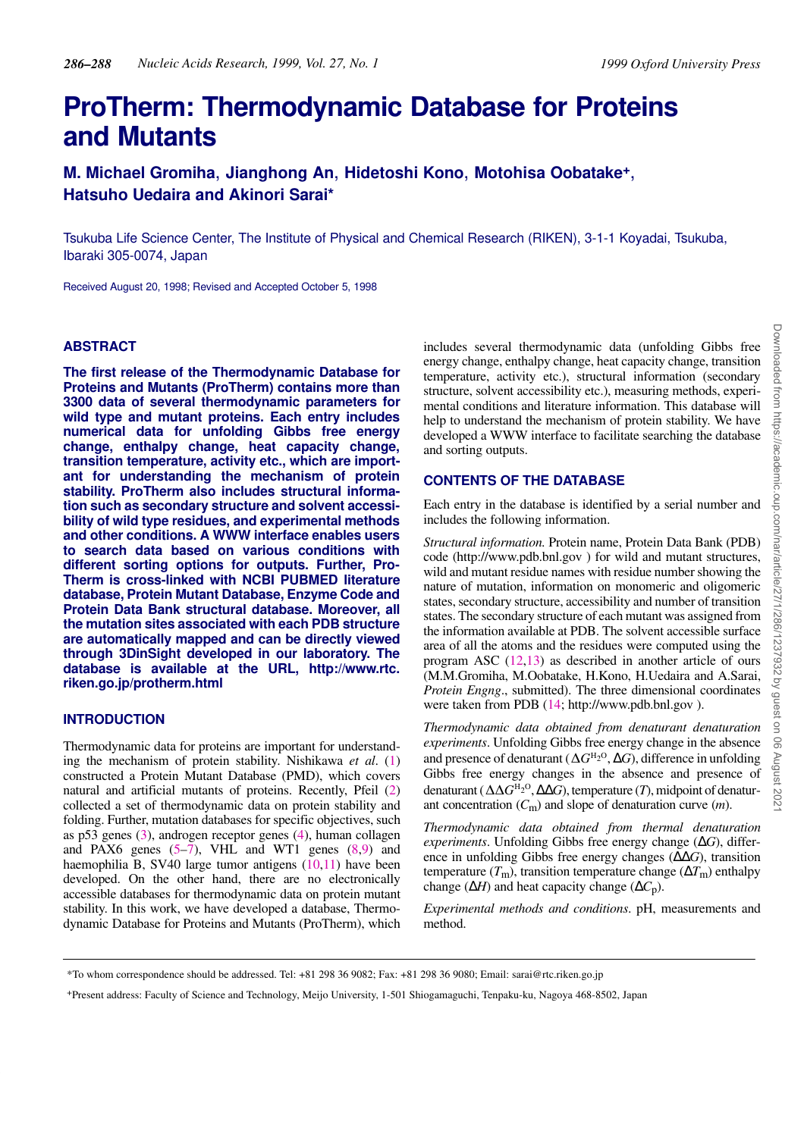# **ProTherm: Thermodynamic Database for Proteins and Mutants**

**M. Michael Gromiha**, **Jianghong An**, **Hidetoshi Kono**, **Motohisa Oobatake<sup>+</sup>**, **Hatsuho Uedaira and Akinori Sarai\***

Tsukuba Life Science Center, The Institute of Physical and Chemical Research (RIKEN), 3-1-1 Koyadai, Tsukuba, Ibaraki 305-0074, Japan

Received August 20, 1998; Revised and Accepted October 5, 1998

# **ABSTRACT**

**The first release of the Thermodynamic Database for Proteins and Mutants (ProTherm) contains more than 3300 data of several thermodynamic parameters for wild type and mutant proteins. Each entry includes numerical data for unfolding Gibbs free energy change, enthalpy change, heat capacity change, transition temperature, activity etc., which are important for understanding the mechanism of protein stability. ProTherm also includes structural information such as secondary structure and solvent accessibility of wild type residues, and experimental methods and other conditions. A WWW interface enables users to search data based on various conditions with different sorting options for outputs. Further, Pro-Therm is cross-linked with NCBI PUBMED literature database, Protein Mutant Database, Enzyme Code and Protein Data Bank structural database. Moreover, all the mutation sites associated with each PDB structure are automatically mapped and can be directly viewed through 3DinSight developed in our laboratory. The database is available at the URL, http://www.rtc. riken.go.jp/protherm.html**

## **INTRODUCTION**

Thermodynamic data for proteins are important for understanding the mechanism of protein stability. Nishikawa *et al*. (1) constructed a Protein Mutant Database (PMD), which covers natural and artificial mutants of proteins. Recently, Pfeil (2) collected a set of thermodynamic data on protein stability and folding. Further, mutation databases for specific objectives, such as p53 genes (3), androgen receptor genes (4), human collagen and PAX6 genes (5–7), VHL and WT1 genes (8,9) and haemophilia B, SV40 large tumor antigens (10,11) have been developed. On the other hand, there are no electronically accessible databases for thermodynamic data on protein mutant stability. In this work, we have developed a database, Thermodynamic Database for Proteins and Mutants (ProTherm), which includes several thermodynamic data (unfolding Gibbs free energy change, enthalpy change, heat capacity change, transition temperature, activity etc.), structural information (secondary structure, solvent accessibility etc.), measuring methods, experimental conditions and literature information. This database will help to understand the mechanism of protein stability. We have developed a WWW interface to facilitate searching the database and sorting outputs.

#### **CONTENTS OF THE DATABASE**

Each entry in the database is identified by a serial number and includes the following information.

*Structural information.* Protein name, Protein Data Bank (PDB) code (http://www.pdb.bnl.gov ) for wild and mutant structures, wild and mutant residue names with residue number showing the nature of mutation, information on monomeric and oligomeric states, secondary structure, accessibility and number of transition states. The secondary structure of each mutant was assigned from the information available at PDB. The solvent accessible surface area of all the atoms and the residues were computed using the program ASC (12,13) as described in another article of ours (M.M.Gromiha, M.Oobatake, H.Kono, H.Uedaira and A.Sarai, *Protein Engng*., submitted). The three dimensional coordinates were taken from PDB (14; http://www.pdb.bnl.gov ).

*Thermodynamic data obtained from denaturant denaturation experiments*. Unfolding Gibbs free energy change in the absence and presence of denaturant ( $\Delta G^{\text{H}_2\text{O}}, \Delta G$ ), difference in unfolding Gibbs free energy changes in the absence and presence of denaturant (ΔΔ*G*<sup>H<sub>2</sub>O</sup>, ΔΔ*G*), temperature (*T*), midpoint of denaturant concentration (*C*m) and slope of denaturation curve (*m*).

*Thermodynamic data obtained from thermal denaturation experiments*. Unfolding Gibbs free energy change (∆*G*), difference in unfolding Gibbs free energy changes (∆∆*G*), transition temperature ( $T<sub>m</sub>$ ), transition temperature change ( $\Delta T<sub>m</sub>$ ) enthalpy change (∆*H*) and heat capacity change (∆*C*p).

*Experimental methods and conditions*. pH, measurements and method.

<sup>\*</sup>To whom correspondence should be addressed. Tel: +81 298 36 9082; Fax: +81 298 36 9080; Email: sarai@rtc.riken.go.jp

<sup>+</sup>Present address: Faculty of Science and Technology, Meijo University, 1-501 Shiogamaguchi, Tenpaku-ku, Nagoya 468-8502, Japan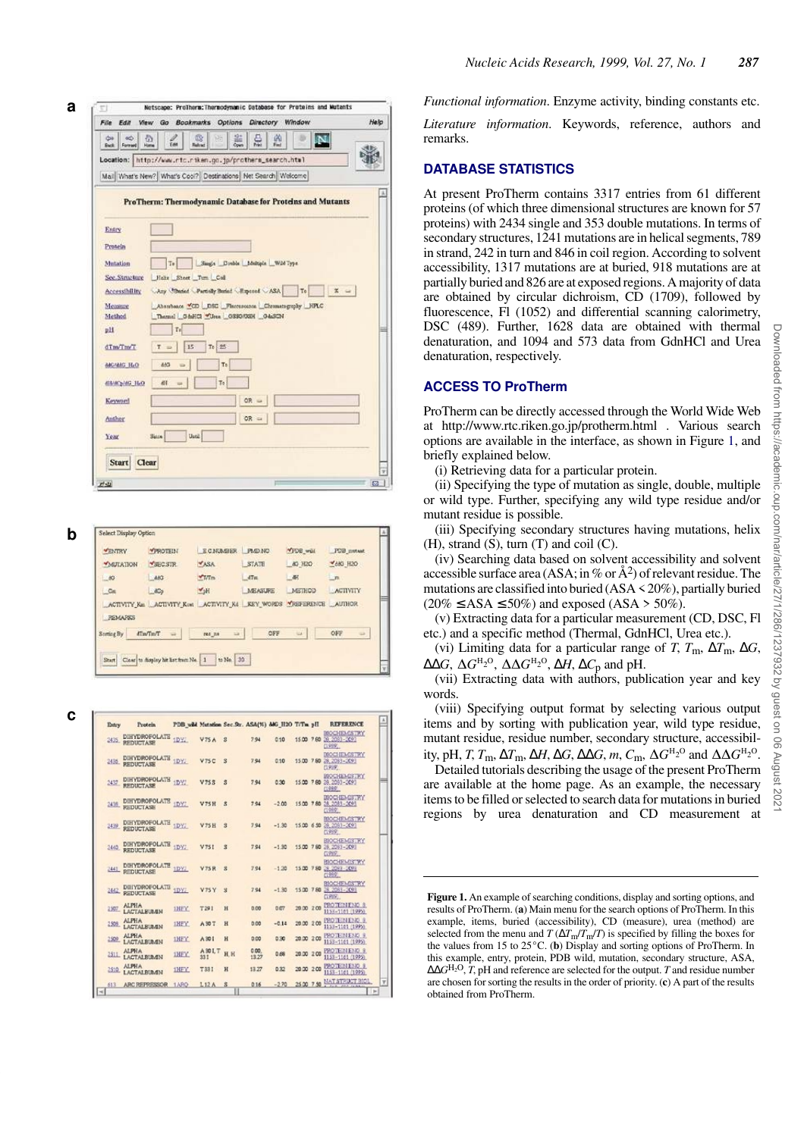| $\Leftrightarrow$<br>60<br><b>Buck</b><br>Forewell | 奇<br>ĒМ                                    | $\mathbb{Q}$<br>05<br>Fabrad | 문<br>嘀                                                                                   | э<br>N           |                                  |
|----------------------------------------------------|--------------------------------------------|------------------------------|------------------------------------------------------------------------------------------|------------------|----------------------------------|
|                                                    |                                            |                              | Location: http://www.rtc.rtken.go.jp/protherm_search.html                                |                  |                                  |
|                                                    |                                            |                              | Mail What's New? What's Cool? Destinations Net Search Welcome                            |                  |                                  |
|                                                    |                                            |                              | ProTherm: Thermodynamic Database for Proteins and Mutants                                |                  |                                  |
|                                                    |                                            |                              |                                                                                          |                  |                                  |
| Entry                                              |                                            |                              |                                                                                          |                  |                                  |
| Protein                                            |                                            |                              |                                                                                          |                  |                                  |
| Mutation                                           | Tel                                        |                              | Single Couble Moltiple Wild Type                                                         |                  |                                  |
| Sec.Structure                                      |                                            | Helix Sheet Turn Coll        |                                                                                          |                  |                                  |
| Accessibility                                      |                                            |                              | Any Churisd Partially Buried Report ASA                                                  | To               | ×                                |
| Measure<br>Method                                  |                                            |                              | Abanbance CD DSC Placeascents Chromatography HPLC<br>Themal GhillG Circa 0330/03H 04:3CN |                  |                                  |
| pH                                                 | Tr                                         |                              |                                                                                          |                  |                                  |
|                                                    |                                            |                              |                                                                                          |                  |                                  |
| dTm/Tm/T                                           | $T =$                                      | $Te$ 25<br>15                |                                                                                          |                  |                                  |
| <b>BAC/BIG BLO</b>                                 | 843                                        | Te                           |                                                                                          |                  |                                  |
| distance the                                       | 硏                                          | To                           |                                                                                          |                  |                                  |
| Keyword                                            |                                            |                              | $QR =$                                                                                   |                  |                                  |
| Author                                             |                                            |                              | OR =                                                                                     |                  |                                  |
| Year                                               | Since                                      | Until                        |                                                                                          |                  |                                  |
|                                                    |                                            |                              |                                                                                          |                  |                                  |
| Start Clear                                        |                                            |                              |                                                                                          |                  |                                  |
|                                                    |                                            |                              |                                                                                          |                  |                                  |
| $Z^{\prime}$ stal                                  |                                            |                              |                                                                                          |                  |                                  |
|                                                    |                                            |                              |                                                                                          |                  |                                  |
|                                                    |                                            |                              |                                                                                          |                  |                                  |
| Select Display Option                              |                                            |                              |                                                                                          |                  |                                  |
| <b>VENTRY</b>                                      | <b>YPROTHIN</b>                            |                              | ECNUMBER PMD NO                                                                          | <b>MPDB</b> will | PDB metast                       |
| MUTATION                                           | VECSIR                                     | <b>YASA</b>                  | STATE                                                                                    | <b>80 H2O</b>    | <b>Y680 H2O</b>                  |
| $-60$                                              | 266<br>200p                                | <b>YTTm</b><br>$v_{2}$ H     | Mm<br><b>MEASURE</b>                                                                     | 三根<br>METHOD     | <b>Little</b><br><b>ACTIVITY</b> |
| $\Box$ Cas                                         |                                            |                              | ACTIVITY Ka ACTIVITY Kan ACTIVITY K4 KEY WORDS YREFERENCE AUTHOR                         |                  |                                  |
| <b>REMARKS</b>                                     |                                            |                              |                                                                                          |                  |                                  |
| Soming By                                          | <b>STATIST</b>                             | 285 7/8                      | OFF                                                                                      |                  | OFF                              |
|                                                    |                                            |                              |                                                                                          |                  |                                  |
|                                                    | Start Clear to display hit list from No. 1 | to No. 30                    |                                                                                          |                  |                                  |
|                                                    |                                            |                              |                                                                                          |                  |                                  |
|                                                    |                                            |                              |                                                                                          |                  |                                  |

| <b>VENTRY</b>   | <b>VPROTHIN</b>                 | ECNIMBER PMDNO                                                   |         | <b>MFDB</b> wild | PDB metast      |  |
|-----------------|---------------------------------|------------------------------------------------------------------|---------|------------------|-----------------|--|
| <b>MULATION</b> | VECSIR                          | <b>YASA</b>                                                      | STATE   | <b>AG H2O</b>    | <b>V680 H2O</b> |  |
| $-60$           | $-483$                          | 47/1m                                                            | dTm     | 一根               | <b>Link</b>     |  |
| $-$ Cinc        | dCo <sup>1</sup>                | $V_2H$                                                           | MEASURE | METHOD           | <b>ACTIVITY</b> |  |
| <b>REMARKS</b>  |                                 | ACTIVITY Km ACTIVITY Kmt ACTIVITY K4 KEY WORDS YREFERENCE AUTHOR |         |                  |                 |  |
| Soming By       | <b>ATANTAT</b><br>$\Rightarrow$ | щ.<br>285 2.9                                                    | OFF     | ta.              | OFF             |  |

C

| Entry | <b>Protein</b>                         | PDB wild Mutation Sec.Str. ASA(%) ddG H2O T/Tm pH |                           |                         |               |         |            | <b>REFERENCE</b>                                          |
|-------|----------------------------------------|---------------------------------------------------|---------------------------|-------------------------|---------------|---------|------------|-----------------------------------------------------------|
|       | DIHYDROFOLATE<br>2435 REDUCTASE        | 1DY.                                              | $V75A$ $3$                |                         | 7.94          | 0.10    | 1500 780   | <b>BIOCHEMISTRY</b><br>28, 2083-2093<br>(1989)            |
|       | DIHYDROFOLATE 1DY.<br>2435 REDUCTASE   |                                                   | V.75C                     | $\mathbf{\overline{3}}$ | 7.94          | 0.10    |            | <b>DIOCHEMISTRY</b><br>15:00 7:80 28, 2083-2093<br>(1999) |
|       | 2437 DIHYDROFOLATH 1DVZ                |                                                   | V75S                      | s                       | 7.94          | 0.30    |            | <b>BIOGHEMISTRY</b><br>15:00 7:00 28:2083-2093<br>(1980)  |
|       | DIHYDROFOLATS 1DYZ<br>2438 REDUCTASE   |                                                   | <b>V75H</b>               | 文                       | 7.94          | $-200$  |            | BIOCHEMISTRY<br>1500 780 28, 2083-2093<br>(1980)          |
|       | DIHYDROFOLATE 1DY.<br>2439 REDUCTASE   |                                                   | <b>V75H</b>               | $\overline{\mathbf{3}}$ | 7.94          | $-1.30$ |            | BIOCHEMISTRY<br>15:00 6:50 28, 2083-2093<br>[1989]        |
| 2440  | DIHYDROFOLATE 1DY.<br><b>REDUCTASE</b> |                                                   | V75I                      | $\mathbf{S}$            | 7.94          | $-1.30$ |            | <b>BIOCHEMISTRY</b><br>1500 780 28, 2083-2093<br>(1989)   |
| 2441  | DIHYDROPOLATE 1DYJ<br>- REDUCTASE      |                                                   | <b>V75R</b>               | $\mathbf{g}$            | 7.94          | $-1.20$ | 15.00 7.80 | BIOCHEMISTRY<br>28, 2083 - 2093<br>[1989]                 |
|       | 2442 DIHYDROFOLATE 1DY.                |                                                   | <b>V75 Y</b>              | $\overline{\mathbf{x}}$ | 794           | $-1.30$ |            | <b>BIOCHEMISTRY</b><br>15.00 7.80 28 2083-2091<br>[1999]  |
| 2507  | <b>ALPHA</b><br><b>LACTALEUMN</b>      | <b>INEY</b>                                       | T291                      | H                       | 0.00          | 0.07    | 20.00 2.00 | PROTEINENC 8<br>1153-1101 (1995)                          |
| 2,508 | <b>ALPHA</b><br><b>LACTALBUMIN</b>     | <b>IHEY</b>                                       | A 30 T                    | H                       | 0.00          | $-0.14$ | 20.00 2.00 | PROTEINENC 8<br>1153-1141 (1995).                         |
| 2509  | <b>ALPHA</b><br><b>LACTALBUMIN</b>     | 1HFY                                              | A 301                     | и                       | 0.00          | 0.30    | 20.00 2.00 | <b>PROTEINENC 9</b><br>1153-1161 (1995)                   |
| 2511  | <b>ALPHA</b><br><b>LACTALBUMM</b>      | <b>INFY</b>                                       | A <sub>30LT</sub><br>33.1 | H.H                     | 0.00<br>13.27 | 0.66    | 20.00 2.00 | PROTEINEND 8<br>1153-1161 (1995)                          |
| 2510  | <b>ALPHA</b><br><b>LACTALBUMEN</b>     | 1HFY                                              | T331                      | H                       | 13.27         | 0.32    | 20 00 2 00 | <b>PROTEINENG 8</b><br>1153-1161 (1995)                   |
| 613   | ARC REPRESSOR                          | 1ARO                                              | L12A                      | $\mathbf{s}$            | 0.16          | $-2.70$ | 25.00 7.50 | NAT STRUCT BIO                                            |

*Functional information*. Enzyme activity, binding constants etc.

*Literature information*. Keywords, reference, authors and remarks.

# **DATABASE STATISTICS**

At present ProTherm contains 3317 entries from 61 different proteins (of which three dimensional structures are known for 57 proteins) with 2434 single and 353 double mutations. In terms of secondary structures, 1241 mutations are in helical segments, 789 in strand, 242 in turn and 846 in coil region. According to solvent accessibility, 1317 mutations are at buried, 918 mutations are at partially buried and 826 are at exposed regions. A majority of data are obtained by circular dichroism, CD (1709), followed by fluorescence, Fl (1052) and differential scanning calorimetry, DSC (489). Further, 1628 data are obtained with thermal denaturation, and 1094 and 573 data from GdnHCl and Urea denaturation, respectively.

## **ACCESS TO ProTherm**

ProTherm can be directly accessed through the World Wide Web at http://www.rtc.riken.go.jp/protherm.html . Various search options are available in the interface, as shown in Figure 1, and briefly explained below.

(i) Retrieving data for a particular protein.

(ii) Specifying the type of mutation as single, double, multiple or wild type. Further, specifying any wild type residue and/or mutant residue is possible.

(iii) Specifying secondary structures having mutations, helix  $(H)$ , strand  $(S)$ , turn  $(T)$  and coil  $(C)$ .

(iv) Searching data based on solvent accessibility and solvent accessible surface area (ASA; in % or  $\AA$ <sup>2</sup>) of relevant residue. The mutations are classified into buried (ASA < 20%), partially buried  $(20\% \leq ASA \leq 50\%)$  and exposed  $(ASA > 50\%).$ 

(v) Extracting data for a particular measurement (CD, DSC, Fl etc.) and a specific method (Thermal, GdnHCl, Urea etc.).

(vi) Limiting data for a particular range of *T*,  $T_{\text{m}}$ ,  $\Delta T_{\text{m}}$ ,  $\Delta G$ ,  $\Delta\Delta G$ ,  $\Delta G^{H_2O}$ ,  $\Delta\Delta G^{H_2O}$ ,  $\Delta H$ ,  $\Delta C_p$  and pH.

(vii) Extracting data with authors, publication year and key words.

(viii) Specifying output format by selecting various output items and by sorting with publication year, wild type residue, mutant residue, residue number, secondary structure, accessibility, pH, *T*, *T*<sub>m</sub>,  $\Delta T$ <sub>m</sub>,  $\Delta H$ ,  $\Delta G$ ,  $\Delta \Delta G$ , *m*,  $C$ <sub>m</sub>,  $\Delta G$ <sup>H<sub>2</sub>O</sub> and  $\Delta \Delta G$ <sup>H<sub>2</sub>O</sup>.</sup>

Detailed tutorials describing the usage of the present ProTherm are available at the home page. As an example, the necessary items to be filled or selected to search data for mutations in buried regions by urea denaturation and CD measurement at

**Figure 1.** An example of searching conditions, display and sorting options, and results of ProTherm. ( **a**) Main menu for the search options of ProTherm. In this example, items, buried (accessibility), CD (measure), urea (method) are selected from the menu and  $T(\Delta T_{\rm m}/T_{\rm m}/T)$  is specified by filling the boxes for the values from 15 to  $25^{\circ}$ C. (b) Display and sorting options of ProTherm. In this example, entry, protein, PDB wild, mutation, secondary structure, ASA, ∆∆ *G* H 2 O, *T*, pH and reference are selected for the output. *T* and residue number are chosen for sorting the results in the order of priority. ( **c**) A part of the results obtained from ProTherm.